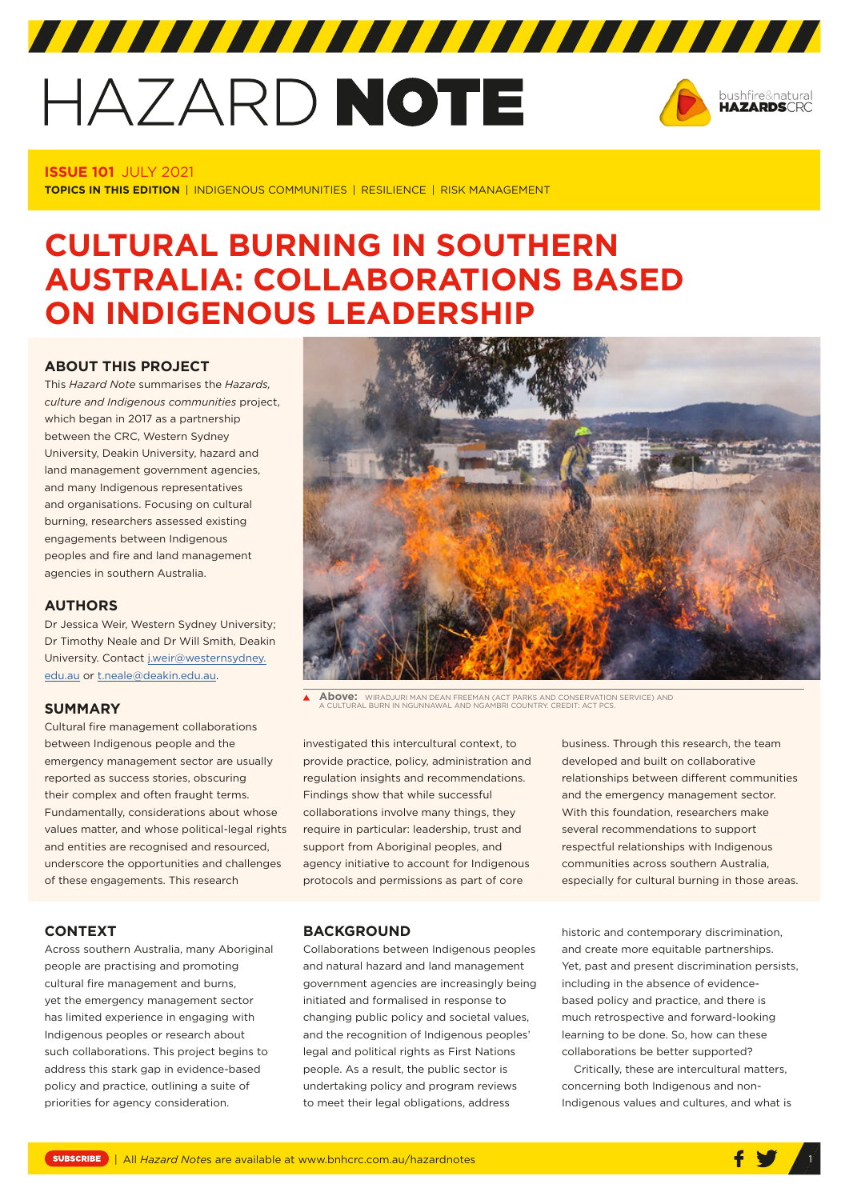# HAZARD NOTE



# **ISSUE 101** JULY 2021

**TOPICS IN THIS EDITION** | INDIGENOUS COMMUNITIES | RESILIENCE | RISK MANAGEMENT

# **CULTURAL BURNING IN SOUTHERN AUSTRALIA: COLLABORATIONS BASED ON INDIGENOUS LEADERSHIP**

# **ABOUT THIS PROJECT**

This *Hazard Note* summarises the *Hazards, culture and Indigenous communities* project, which began in 2017 as a partnership between the CRC, Western Sydney University, Deakin University, hazard and land management government agencies, and many Indigenous representatives and organisations. Focusing on cultural burning, researchers assessed existing engagements between Indigenous peoples and fire and land management agencies in southern Australia.

# **AUTHORS**

Dr Jessica Weir, Western Sydney University; Dr Timothy Neale and Dr Will Smith, Deakin University. Contact [j.weir@westernsydney.](mailto:j.weir@westernsydney.edu.au) [edu.au](mailto:j.weir@westernsydney.edu.au) or [t.neale@deakin.edu.au.](mailto:t.neale@deakin.edu.au)

# **SUMMARY**

Cultural fire management collaborations between Indigenous people and the emergency management sector are usually reported as success stories, obscuring their complex and often fraught terms. Fundamentally, considerations about whose values matter, and whose political-legal rights and entities are recognised and resourced, underscore the opportunities and challenges of these engagements. This research

#### **CONTEXT**

Across southern Australia, many Aboriginal people are practising and promoting cultural fire management and burns, yet the emergency management sector has limited experience in engaging with Indigenous peoples or research about such collaborations. This project begins to address this stark gap in evidence-based policy and practice, outlining a suite of priorities for agency consideration.



**Above:** WIRADJURI MAN DEAN FREEMAN (ACT PARKS AND CONSERVATION SERVICE) AND A CULTURAL BURN IN NGUNNAWAL AND NGAMBRI COUNTRY. CREDIT: ACT PCS.

investigated this intercultural context, to provide practice, policy, administration and regulation insights and recommendations. Findings show that while successful collaborations involve many things, they require in particular: leadership, trust and support from Aboriginal peoples, and agency initiative to account for Indigenous protocols and permissions as part of core

business. Through this research, the team developed and built on collaborative relationships between different communities and the emergency management sector. With this foundation, researchers make several recommendations to support respectful relationships with Indigenous communities across southern Australia, especially for cultural burning in those areas.

#### **BACKGROUND**

Collaborations between Indigenous peoples and natural hazard and land management government agencies are increasingly being initiated and formalised in response to changing public policy and societal values, and the recognition of Indigenous peoples' legal and political rights as First Nations people. As a result, the public sector is undertaking policy and program reviews to meet their legal obligations, address

historic and contemporary discrimination, and create more equitable partnerships. Yet, past and present discrimination persists, including in the absence of evidencebased policy and practice, and there is much retrospective and forward-looking learning to be done. So, how can these collaborations be better supported?

Critically, these are intercultural matters, concerning both Indigenous and non-Indigenous values and cultures, and what is

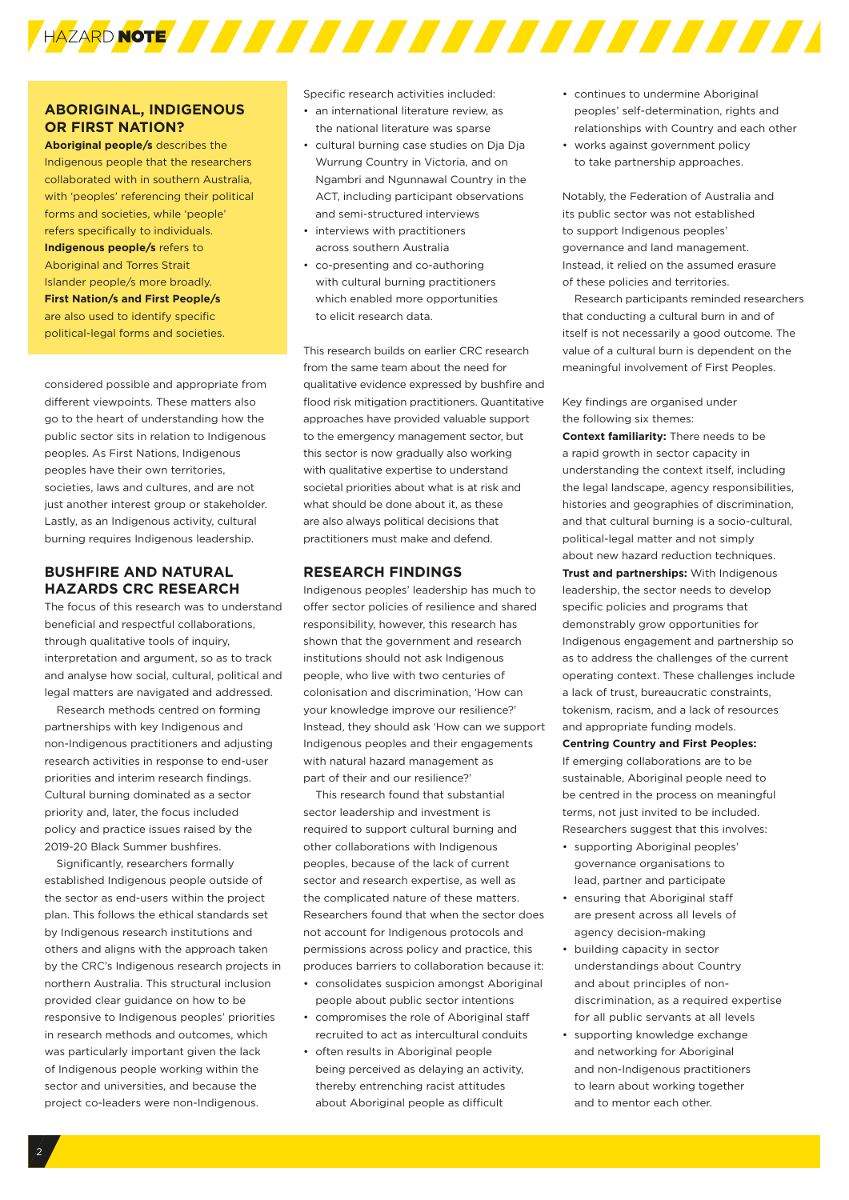

# **ABORIGINAL, INDIGENOUS OR FIRST NATION?**

**Aboriginal people/s** describes the Indigenous people that the researchers collaborated with in southern Australia, with 'peoples' referencing their political forms and societies, while 'people' refers specifically to individuals. **Indigenous people/s** refers to Aboriginal and Torres Strait Islander people/s more broadly. **First Nation/s and First People/s** are also used to identify specific political-legal forms and societies.

considered possible and appropriate from different viewpoints. These matters also go to the heart of understanding how the public sector sits in relation to Indigenous peoples. As First Nations, Indigenous peoples have their own territories, societies, laws and cultures, and are not just another interest group or stakeholder. Lastly, as an Indigenous activity, cultural burning requires Indigenous leadership.

# **BUSHFIRE AND NATURAL HAZARDS CRC RESEARCH**

The focus of this research was to understand beneficial and respectful collaborations, through qualitative tools of inquiry, interpretation and argument, so as to track and analyse how social, cultural, political and legal matters are navigated and addressed.

Research methods centred on forming partnerships with key Indigenous and non-Indigenous practitioners and adjusting research activities in response to end-user priorities and interim research findings. Cultural burning dominated as a sector priority and, later, the focus included policy and practice issues raised by the 2019-20 Black Summer bushfires.

Significantly, researchers formally established Indigenous people outside of the sector as end-users within the project plan. This follows the ethical standards set by Indigenous research institutions and others and aligns with the approach taken by the CRC's Indigenous research projects in northern Australia. This structural inclusion provided clear guidance on how to be responsive to Indigenous peoples' priorities in research methods and outcomes, which was particularly important given the lack of Indigenous people working within the sector and universities, and because the project co-leaders were non-Indigenous.

Specific research activities included:

- an international literature review, as the national literature was sparse
- cultural burning case studies on Dja Dja Wurrung Country in Victoria, and on Ngambri and Ngunnawal Country in the ACT, including participant observations and semi-structured interviews
- interviews with practitioners across southern Australia
- co-presenting and co-authoring with cultural burning practitioners which enabled more opportunities to elicit research data.

This research builds on earlier CRC research from the same team about the need for qualitative evidence expressed by bushfire and flood risk mitigation practitioners. Quantitative approaches have provided valuable support to the emergency management sector, but this sector is now gradually also working with qualitative expertise to understand societal priorities about what is at risk and what should be done about it, as these are also always political decisions that practitioners must make and defend.

# **RESEARCH FINDINGS**

Indigenous peoples' leadership has much to offer sector policies of resilience and shared responsibility, however, this research has shown that the government and research institutions should not ask Indigenous people, who live with two centuries of colonisation and discrimination, 'How can your knowledge improve our resilience?' Instead, they should ask 'How can we support Indigenous peoples and their engagements with natural hazard management as part of their and our resilience?'

This research found that substantial sector leadership and investment is required to support cultural burning and other collaborations with Indigenous peoples, because of the lack of current sector and research expertise, as well as the complicated nature of these matters. Researchers found that when the sector does not account for Indigenous protocols and permissions across policy and practice, this produces barriers to collaboration because it:

- consolidates suspicion amongst Aboriginal people about public sector intentions
- compromises the role of Aboriginal staff recruited to act as intercultural conduits
- often results in Aboriginal people being perceived as delaying an activity, thereby entrenching racist attitudes about Aboriginal people as difficult
- continues to undermine Aboriginal peoples' self-determination, rights and relationships with Country and each other
- works against government policy to take partnership approaches.

Notably, the Federation of Australia and its public sector was not established to support Indigenous peoples' governance and land management. Instead, it relied on the assumed erasure of these policies and territories.

Research participants reminded researchers that conducting a cultural burn in and of itself is not necessarily a good outcome. The value of a cultural burn is dependent on the meaningful involvement of First Peoples.

Key findings are organised under the following six themes:

**Context familiarity:** There needs to be a rapid growth in sector capacity in understanding the context itself, including the legal landscape, agency responsibilities, histories and geographies of discrimination, and that cultural burning is a socio-cultural, political-legal matter and not simply about new hazard reduction techniques. **Trust and partnerships:** With Indigenous leadership, the sector needs to develop specific policies and programs that demonstrably grow opportunities for Indigenous engagement and partnership so as to address the challenges of the current operating context. These challenges include a lack of trust, bureaucratic constraints, tokenism, racism, and a lack of resources and appropriate funding models.

**Centring Country and First Peoples:**

If emerging collaborations are to be sustainable, Aboriginal people need to be centred in the process on meaningful terms, not just invited to be included. Researchers suggest that this involves:

- supporting Aboriginal peoples' governance organisations to lead, partner and participate
- ensuring that Aboriginal staff are present across all levels of agency decision-making
- building capacity in sector understandings about Country and about principles of nondiscrimination, as a required expertise for all public servants at all levels
- supporting knowledge exchange and networking for Aboriginal and non-Indigenous practitioners to learn about working together and to mentor each other.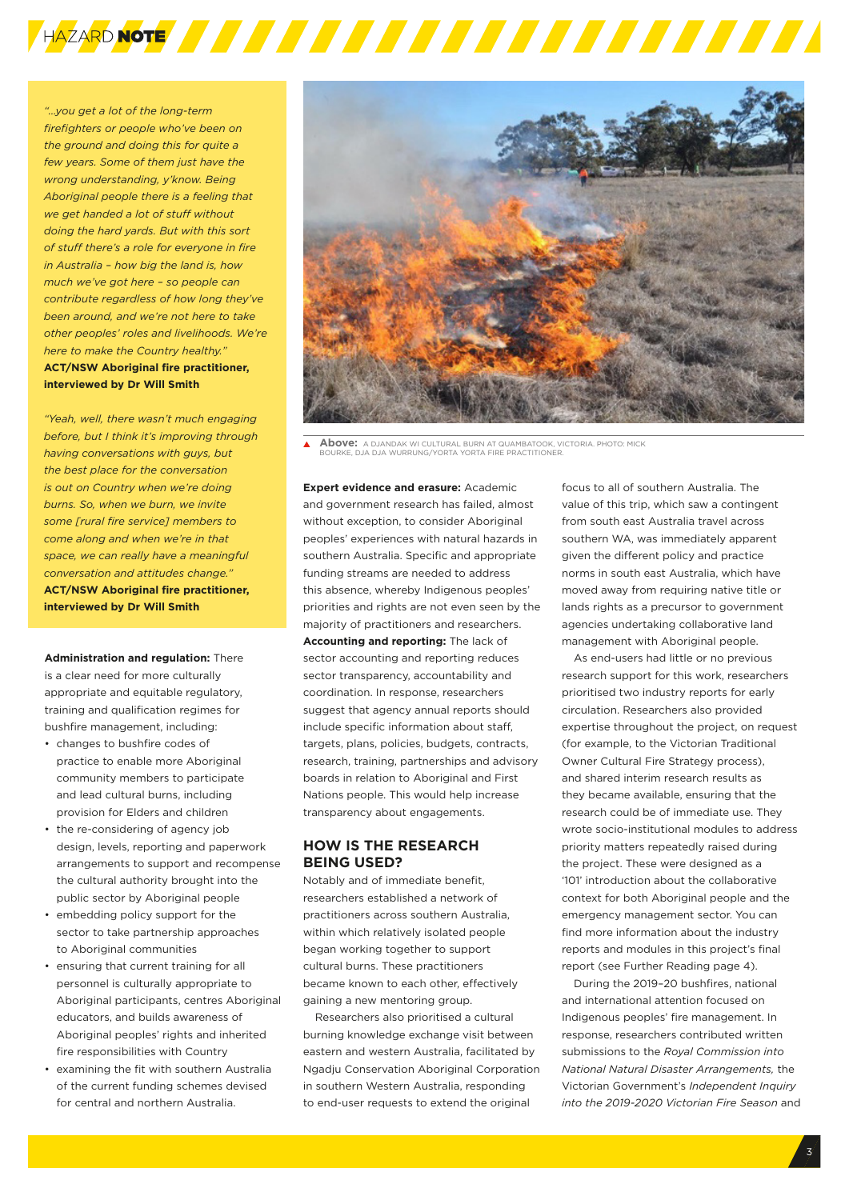

*"…you get a lot of the long-term firefighters or people who've been on the ground and doing this for quite a few years. Some of them just have the wrong understanding, y'know. Being Aboriginal people there is a feeling that we get handed a lot of stuff without doing the hard yards. But with this sort of stuff there's a role for everyone in fire in Australia – how big the land is, how much we've got here – so people can contribute regardless of how long they've been around, and we're not here to take other peoples' roles and livelihoods. We're here to make the Country healthy."* **ACT/NSW Aboriginal fire practitioner, interviewed by Dr Will Smith**

*"Yeah, well, there wasn't much engaging before, but I think it's improving through having conversations with guys, but the best place for the conversation is out on Country when we're doing burns. So, when we burn, we invite some [rural fire service] members to come along and when we're in that space, we can really have a meaningful conversation and attitudes change."* **ACT/NSW Aboriginal fire practitioner, interviewed by Dr Will Smith**

**Administration and regulation:** There is a clear need for more culturally appropriate and equitable regulatory, training and qualification regimes for bushfire management, including:

- changes to bushfire codes of practice to enable more Aboriginal community members to participate and lead cultural burns, including provision for Elders and children
- the re-considering of agency job design, levels, reporting and paperwork arrangements to support and recompense the cultural authority brought into the public sector by Aboriginal people
- embedding policy support for the sector to take partnership approaches to Aboriginal communities
- ensuring that current training for all personnel is culturally appropriate to Aboriginal participants, centres Aboriginal educators, and builds awareness of Aboriginal peoples' rights and inherited fire responsibilities with Country
- examining the fit with southern Australia of the current funding schemes devised for central and northern Australia.



**Above:** A DJANDAK WI CULTURAL BURN AT QUAMBATOOK, VICTORIA. PHOTO: MICK BOURKE, DJA DJA WURRUNG/YORTA YORTA FIRE PRACTITIONER.

**Expert evidence and erasure:** Academic and government research has failed, almost without exception, to consider Aboriginal peoples' experiences with natural hazards in southern Australia. Specific and appropriate funding streams are needed to address this absence, whereby Indigenous peoples' priorities and rights are not even seen by the majority of practitioners and researchers. **Accounting and reporting:** The lack of sector accounting and reporting reduces sector transparency, accountability and coordination. In response, researchers suggest that agency annual reports should include specific information about staff, targets, plans, policies, budgets, contracts, research, training, partnerships and advisory boards in relation to Aboriginal and First Nations people. This would help increase transparency about engagements.

# **HOW IS THE RESEARCH BEING USED?**

Notably and of immediate benefit, researchers established a network of practitioners across southern Australia, within which relatively isolated people began working together to support cultural burns. These practitioners became known to each other, effectively gaining a new mentoring group.

Researchers also prioritised a cultural burning knowledge exchange visit between eastern and western Australia, facilitated by Ngadju Conservation Aboriginal Corporation in southern Western Australia, responding to end-user requests to extend the original

focus to all of southern Australia. The value of this trip, which saw a contingent from south east Australia travel across southern WA, was immediately apparent given the different policy and practice norms in south east Australia, which have moved away from requiring native title or lands rights as a precursor to government agencies undertaking collaborative land management with Aboriginal people.

As end-users had little or no previous research support for this work, researchers prioritised two industry reports for early circulation. Researchers also provided expertise throughout the project, on request (for example, to the Victorian Traditional Owner Cultural Fire Strategy process), and shared interim research results as they became available, ensuring that the research could be of immediate use. They wrote socio-institutional modules to address priority matters repeatedly raised during the project. These were designed as a '101' introduction about the collaborative context for both Aboriginal people and the emergency management sector. You can find more information about the industry reports and modules in this project's final report (see Further Reading page 4).

During the 2019–20 bushfires, national and international attention focused on Indigenous peoples' fire management. In response, researchers contributed written submissions to the *Royal Commission into National Natural Disaster Arrangements,* the Victorian Government's *Independent Inquiry into the 2019-2020 Victorian Fire Season* and